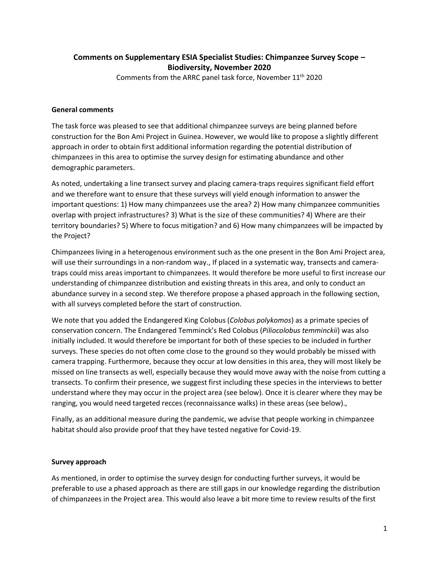## **Comments on Supplementary ESIA Specialist Studies: Chimpanzee Survey Scope – Biodiversity, November 2020**

Comments from the ARRC panel task force, November 11th 2020

## **General comments**

The task force was pleased to see that additional chimpanzee surveys are being planned before construction for the Bon Ami Project in Guinea. However, we would like to propose a slightly different approach in order to obtain first additional information regarding the potential distribution of chimpanzees in this area to optimise the survey design for estimating abundance and other demographic parameters.

As noted, undertaking a line transect survey and placing camera-traps requires significant field effort and we therefore want to ensure that these surveys will yield enough information to answer the important questions: 1) How many chimpanzees use the area? 2) How many chimpanzee communities overlap with project infrastructures? 3) What is the size of these communities? 4) Where are their territory boundaries? 5) Where to focus mitigation? and 6) How many chimpanzees will be impacted by the Project?

Chimpanzees living in a heterogenous environment such as the one present in the Bon Ami Project area, will use their surroundings in a non-random way., If placed in a systematic way, transects and cameratraps could miss areas important to chimpanzees. It would therefore be more useful to first increase our understanding of chimpanzee distribution and existing threats in this area, and only to conduct an abundance survey in a second step. We therefore propose a phased approach in the following section, with all surveys completed before the start of construction.

We note that you added the Endangered King Colobus (*Colobus polykomos*) as a primate species of conservation concern. The Endangered Temminck's Red Colobus (*Piliocolobus temminckii*) was also initially included. It would therefore be important for both of these species to be included in further surveys. These species do not often come close to the ground so they would probably be missed with camera trapping. Furthermore, because they occur at low densities in this area, they will most likely be missed on line transects as well, especially because they would move away with the noise from cutting a transects. To confirm their presence, we suggest first including these species in the interviews to better understand where they may occur in the project area (see below). Once it is clearer where they may be ranging, you would need targeted recces (reconnaissance walks) in these areas (see below).,

Finally, as an additional measure during the pandemic, we advise that people working in chimpanzee habitat should also provide proof that they have tested negative for Covid-19.

## **Survey approach**

As mentioned, in order to optimise the survey design for conducting further surveys, it would be preferable to use a phased approach as there are still gaps in our knowledge regarding the distribution of chimpanzees in the Project area. This would also leave a bit more time to review results of the first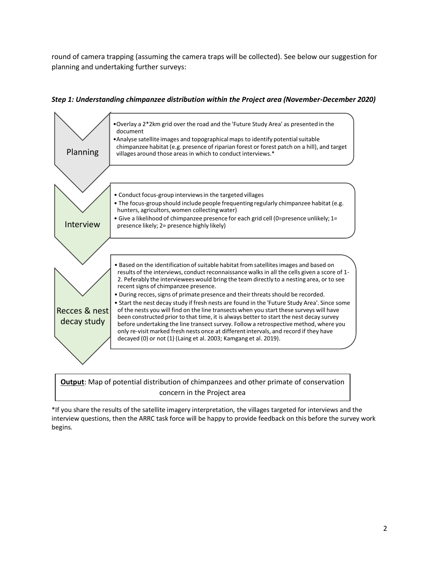round of camera trapping (assuming the camera traps will be collected). See below our suggestion for planning and undertaking further surveys:





**Output**: Map of potential distribution of chimpanzees and other primate of conservation concern in the Project area

\*If you share the results of the satellite imagery interpretation, the villages targeted for interviews and the interview questions, then the ARRC task force will be happy to provide feedback on this before the survey work begins.